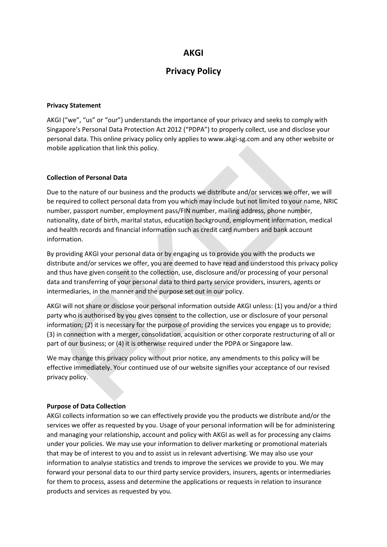# **AKGI**

# **Privacy Policy**

### **Privacy Statement**

AKGI ("we", "us" or "our") understands the importance of your privacy and seeks to comply with Singapore's Personal Data Protection Act 2012 ("PDPA") to properly collect, use and disclose your personal data. This online privacy policy only applies to www.akgi-sg.com and any other website or mobile application that link this policy.

### **Collection of Personal Data**

Due to the nature of our business and the products we distribute and/or services we offer, we will be required to collect personal data from you which may include but not limited to your name, NRIC number, passport number, employment pass/FIN number, mailing address, phone number, nationality, date of birth, marital status, education background, employment information, medical and health records and financial information such as credit card numbers and bank account information.

By providing AKGI your personal data or by engaging us to provide you with the products we distribute and/or services we offer, you are deemed to have read and understood this privacy policy and thus have given consent to the collection, use, disclosure and/or processing of your personal data and transferring of your personal data to third party service providers, insurers, agents or intermediaries, in the manner and the purpose set out in our policy.

AKGI will not share or disclose your personal information outside AKGI unless: (1) you and/or a third party who is authorised by you gives consent to the collection, use or disclosure of your personal information; (2) it is necessary for the purpose of providing the services you engage us to provide; (3) in connection with a merger, consolidation, acquisition or other corporate restructuring of all or part of our business; or (4) it is otherwise required under the PDPA or Singapore law.

We may change this privacy policy without prior notice, any amendments to this policy will be effective immediately. Your continued use of our website signifies your acceptance of our revised privacy policy.

#### **Purpose of Data Collection**

AKGI collects information so we can effectively provide you the products we distribute and/or the services we offer as requested by you. Usage of your personal information will be for administering and managing your relationship, account and policy with AKGI as well as for processing any claims under your policies. We may use your information to deliver marketing or promotional materials that may be of interest to you and to assist us in relevant advertising. We may also use your information to analyse statistics and trends to improve the services we provide to you. We may forward your personal data to our third party service providers, insurers, agents or intermediaries for them to process, assess and determine the applications or requests in relation to insurance products and services as requested by you.